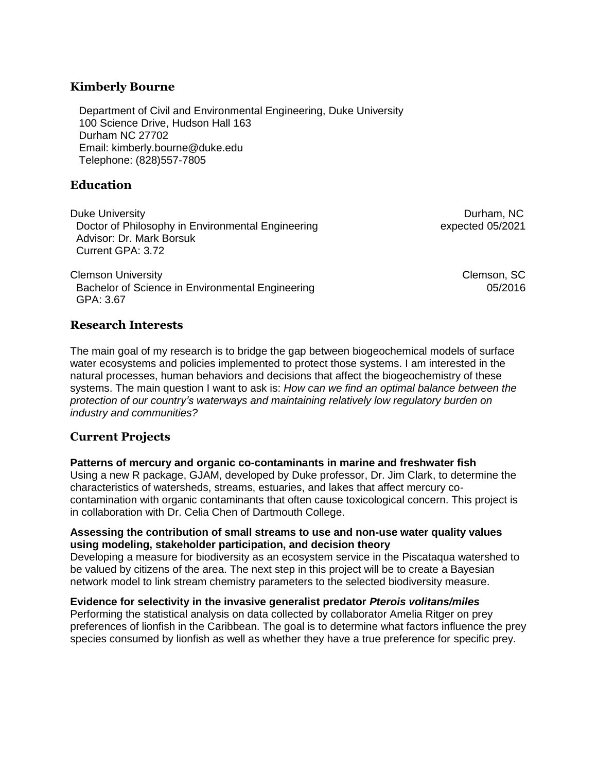## **Kimberly Bourne**

Department of Civil and Environmental Engineering, Duke University 100 Science Drive, Hudson Hall 163 Durham NC 27702 Email: kimberly.bourne@duke.edu Telephone: (828)557-7805

# **Education**

Duke University **Durham, NC** Doctor of Philosophy in Environmental Engineering expected 05/2021 Advisor: Dr. Mark Borsuk Current GPA: 3.72

Clemson UniversityClemson, SC Bachelor of Science in Environmental Engineering 05/2016 GPA: 3.67

### **Research Interests**

The main goal of my research is to bridge the gap between biogeochemical models of surface water ecosystems and policies implemented to protect those systems. I am interested in the natural processes, human behaviors and decisions that affect the biogeochemistry of these systems. The main question I want to ask is: *How can we find an optimal balance between the protection of our country's waterways and maintaining relatively low regulatory burden on industry and communities?* 

## **Current Projects**

#### **Patterns of mercury and organic co-contaminants in marine and freshwater fish**

Using a new R package, GJAM, developed by Duke professor, Dr. Jim Clark, to determine the characteristics of watersheds, streams, estuaries, and lakes that affect mercury cocontamination with organic contaminants that often cause toxicological concern. This project is in collaboration with Dr. Celia Chen of Dartmouth College.

#### **Assessing the contribution of small streams to use and non-use water quality values using modeling, stakeholder participation, and decision theory**

Developing a measure for biodiversity as an ecosystem service in the Piscataqua watershed to be valued by citizens of the area. The next step in this project will be to create a Bayesian network model to link stream chemistry parameters to the selected biodiversity measure.

#### **Evidence for selectivity in the invasive generalist predator** *Pterois volitans/miles*

Performing the statistical analysis on data collected by collaborator Amelia Ritger on prey preferences of lionfish in the Caribbean. The goal is to determine what factors influence the prey species consumed by lionfish as well as whether they have a true preference for specific prey.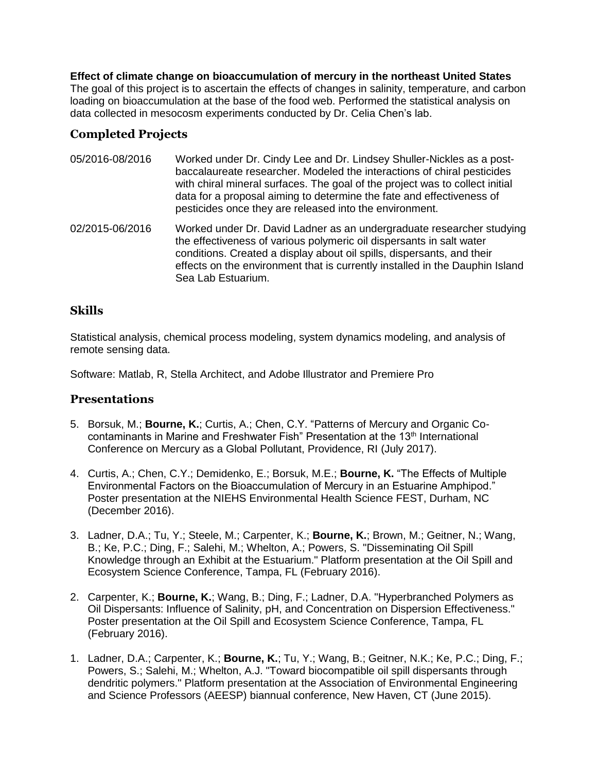**Effect of climate change on bioaccumulation of mercury in the northeast United States**

The goal of this project is to ascertain the effects of changes in salinity, temperature, and carbon loading on bioaccumulation at the base of the food web. Performed the statistical analysis on data collected in mesocosm experiments conducted by Dr. Celia Chen's lab.

# **Completed Projects**

- 05/2016-08/2016 Worked under Dr. Cindy Lee and Dr. Lindsey Shuller-Nickles as a postbaccalaureate researcher. Modeled the interactions of chiral pesticides with chiral mineral surfaces. The goal of the project was to collect initial data for a proposal aiming to determine the fate and effectiveness of pesticides once they are released into the environment.
- 02/2015-06/2016 Worked under Dr. David Ladner as an undergraduate researcher studying the effectiveness of various polymeric oil dispersants in salt water conditions. Created a display about oil spills, dispersants, and their effects on the environment that is currently installed in the Dauphin Island Sea Lab Estuarium.

# **Skills**

Statistical analysis, chemical process modeling, system dynamics modeling, and analysis of remote sensing data.

Software: Matlab, R, Stella Architect, and Adobe Illustrator and Premiere Pro

## **Presentations**

- 5. Borsuk, M.; **Bourne, K.**; Curtis, A.; Chen, C.Y. "Patterns of Mercury and Organic Cocontaminants in Marine and Freshwater Fish" Presentation at the 13<sup>th</sup> International Conference on Mercury as a Global Pollutant, Providence, RI (July 2017).
- 4. Curtis, A.; Chen, C.Y.; Demidenko, E.; Borsuk, M.E.; **Bourne, K.** "The Effects of Multiple Environmental Factors on the Bioaccumulation of Mercury in an Estuarine Amphipod." Poster presentation at the NIEHS Environmental Health Science FEST, Durham, NC (December 2016).
- 3. Ladner, D.A.; Tu, Y.; Steele, M.; Carpenter, K.; **Bourne, K.**; Brown, M.; Geitner, N.; Wang, B.; Ke, P.C.; Ding, F.; Salehi, M.; Whelton, A.; Powers, S. "Disseminating Oil Spill Knowledge through an Exhibit at the Estuarium." Platform presentation at the Oil Spill and Ecosystem Science Conference, Tampa, FL (February 2016).
- 2. Carpenter, K.; **Bourne, K.**; Wang, B.; Ding, F.; Ladner, D.A. "Hyperbranched Polymers as Oil Dispersants: Influence of Salinity, pH, and Concentration on Dispersion Effectiveness." Poster presentation at the Oil Spill and Ecosystem Science Conference, Tampa, FL (February 2016).
- 1. Ladner, D.A.; Carpenter, K.; **Bourne, K.**; Tu, Y.; Wang, B.; Geitner, N.K.; Ke, P.C.; Ding, F.; Powers, S.; Salehi, M.; Whelton, A.J. "Toward biocompatible oil spill dispersants through dendritic polymers." Platform presentation at the Association of Environmental Engineering and Science Professors (AEESP) biannual conference, New Haven, CT (June 2015).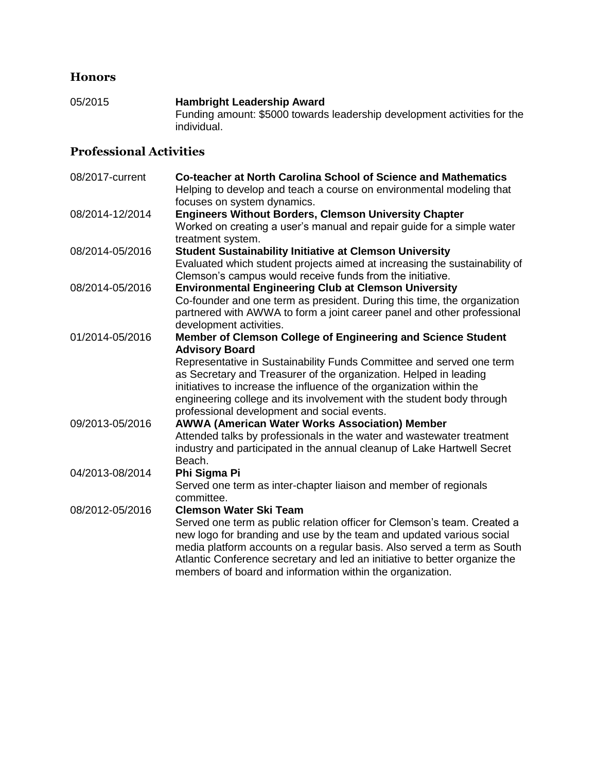# **Honors**

05/2015 **Hambright Leadership Award** Funding amount: \$5000 towards leadership development activities for the individual.

# **Professional Activities**

| 08/2017-current | Co-teacher at North Carolina School of Science and Mathematics<br>Helping to develop and teach a course on environmental modeling that<br>focuses on system dynamics.                                                                                                                                                                                                                                                              |
|-----------------|------------------------------------------------------------------------------------------------------------------------------------------------------------------------------------------------------------------------------------------------------------------------------------------------------------------------------------------------------------------------------------------------------------------------------------|
| 08/2014-12/2014 | <b>Engineers Without Borders, Clemson University Chapter</b><br>Worked on creating a user's manual and repair guide for a simple water<br>treatment system.                                                                                                                                                                                                                                                                        |
| 08/2014-05/2016 | <b>Student Sustainability Initiative at Clemson University</b><br>Evaluated which student projects aimed at increasing the sustainability of<br>Clemson's campus would receive funds from the initiative.                                                                                                                                                                                                                          |
| 08/2014-05/2016 | <b>Environmental Engineering Club at Clemson University</b><br>Co-founder and one term as president. During this time, the organization<br>partnered with AWWA to form a joint career panel and other professional<br>development activities.                                                                                                                                                                                      |
| 01/2014-05/2016 | Member of Clemson College of Engineering and Science Student<br><b>Advisory Board</b><br>Representative in Sustainability Funds Committee and served one term<br>as Secretary and Treasurer of the organization. Helped in leading<br>initiatives to increase the influence of the organization within the<br>engineering college and its involvement with the student body through<br>professional development and social events. |
| 09/2013-05/2016 | <b>AWWA (American Water Works Association) Member</b><br>Attended talks by professionals in the water and wastewater treatment<br>industry and participated in the annual cleanup of Lake Hartwell Secret<br>Beach.                                                                                                                                                                                                                |
| 04/2013-08/2014 | Phi Sigma Pi<br>Served one term as inter-chapter liaison and member of regionals<br>committee.                                                                                                                                                                                                                                                                                                                                     |
| 08/2012-05/2016 | <b>Clemson Water Ski Team</b><br>Served one term as public relation officer for Clemson's team. Created a<br>new logo for branding and use by the team and updated various social<br>media platform accounts on a regular basis. Also served a term as South<br>Atlantic Conference secretary and led an initiative to better organize the<br>members of board and information within the organization.                            |